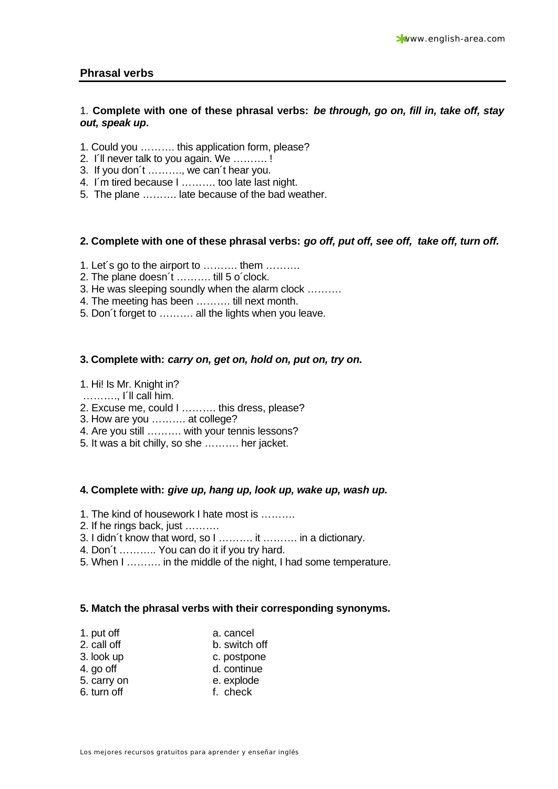### **Phrasal verbs**

### 1. **Complete with one of these phrasal verbs:** *be through, go on, fill in, take off, stay out, speak up***.**

- 1. Could you ………. this application form, please?
- 2. I´ll never talk to you again. We ………. !
- 3. If you don´t ………., we can´t hear you.
- 4. I´m tired because I ………. too late last night.
- 5. The plane ………. late because of the bad weather.

### **2. Complete with one of these phrasal verbs:** *go off, put off, see off, take off, turn off.*

- 1. Let´s go to the airport to ………. them ……….
- 2. The plane doesn´t ………. till 5 o´clock.
- 3. He was sleeping soundly when the alarm clock ……….
- 4. The meeting has been ………. till next month.
- 5. Don´t forget to ………. all the lights when you leave.

### **3. Complete with:** *carry on, get on, hold on, put on, try on.*

#### 1. Hi! Is Mr. Knight in?

- ………., I´ll call him.
- 2. Excuse me, could I ………. this dress, please?
- 3. How are you ………. at college?
- 4. Are you still ………. with your tennis lessons?
- 5. It was a bit chilly, so she ………. her jacket.

### **4. Complete with:** *give up, hang up, look up, wake up, wash up.*

- 1. The kind of housework I hate most is ……….
- 2. If he rings back, just ……….
- 3. I didn´t know that word, so I ………. it ………. in a dictionary.
- 4. Don´t ……….. You can do it if you try hard.
- 5. When I ………. in the middle of the night, I had some temperature.

### **5. Match the phrasal verbs with their corresponding synonyms.**

| 1. put off | a. cancel |
|------------|-----------|
|            |           |

- 2. call off b. switch off
- 3. look up c. postpone
- 4. go off d. continue
- 5. carry on e. explode
- 6. turn off f. check